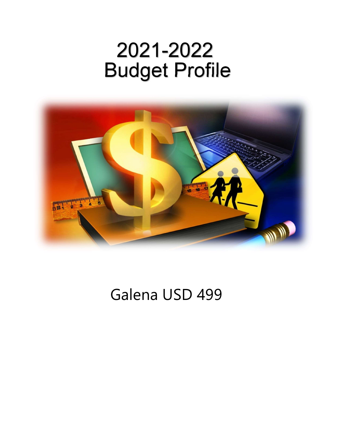# Budget Profile 2021-2022



## Galena USD 499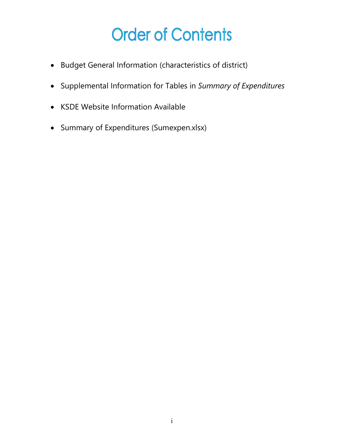## **Order of Contents**

- Budget General Information (characteristics of district)
- Supplemental Information for Tables in Summary of Expenditures
- KSDE Website Information Available
- Summary of Expenditures (Sumexpen.xlsx)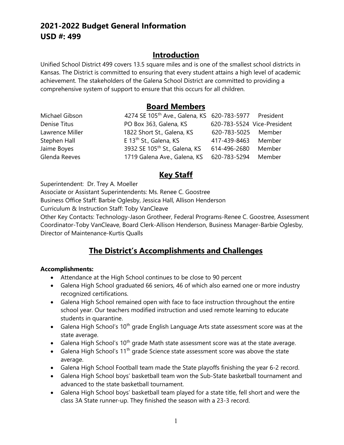## 2021-2022 Budget General Information USD #: 499

## **Introduction**

Unified School District 499 covers 13.5 square miles and is one of the smallest school districts in Kansas. The District is committed to ensuring that every student attains a high level of academic achievement. The stakeholders of the Galena School District are committed to providing a comprehensive system of support to ensure that this occurs for all children.

## Board Members

| Michael Gibson  | 4274 SE 105 <sup>th</sup> Ave., Galena, KS 620-783-5977 President |                     |                             |
|-----------------|-------------------------------------------------------------------|---------------------|-----------------------------|
| Denise Titus    | PO Box 363, Galena, KS                                            |                     | 620-783-5524 Vice-President |
| Lawrence Miller | 1822 Short St., Galena, KS                                        | 620-783-5025 Member |                             |
| Stephen Hall    | E 13 <sup>th</sup> St., Galena, KS                                | 417-439-8463        | Member                      |
| Jaime Boyes     | 3932 SE 105 <sup>th</sup> St., Galena, KS                         | 614-496-2680        | Member                      |
| Glenda Reeves   | 1719 Galena Ave., Galena, KS                                      | 620-783-5294 Member |                             |

## Key Staff

Superintendent: Dr. Trey A. Moeller

Associate or Assistant Superintendents: Ms. Renee C. Goostree

Business Office Staff: Barbie Oglesby, Jessica Hall, Allison Henderson

Curriculum & Instruction Staff: Toby VanCleave

Other Key Contacts: Technology-Jason Grotheer, Federal Programs-Renee C. Goostree, Assessment Coordinator-Toby VanCleave, Board Clerk-Allison Henderson, Business Manager-Barbie Oglesby, Director of Maintenance-Kurtis Qualls

## The District's Accomplishments and Challenges

#### Accomplishments:

- Attendance at the High School continues to be close to 90 percent
- Galena High School graduated 66 seniors, 46 of which also earned one or more industry recognized certifications.
- Galena High School remained open with face to face instruction throughout the entire school year. Our teachers modified instruction and used remote learning to educate students in quarantine.
- Galena High School's 10<sup>th</sup> grade English Language Arts state assessment score was at the state average.
- Galena High School's  $10<sup>th</sup>$  grade Math state assessment score was at the state average.
- Galena High School's 11<sup>th</sup> grade Science state assessment score was above the state average.
- Galena High School Football team made the State playoffs finishing the year 6-2 record.
- Galena High School boys' basketball team won the Sub-State basketball tournament and advanced to the state basketball tournament.
- Galena High School boys' basketball team played for a state title, fell short and were the class 3A State runner-up. They finished the season with a 23-3 record.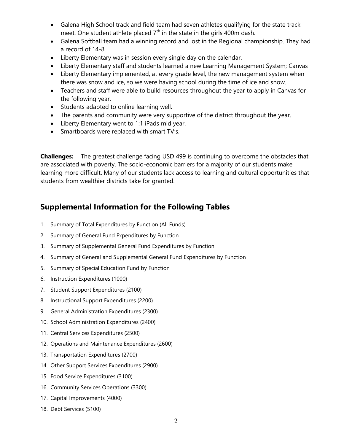- Galena High School track and field team had seven athletes qualifying for the state track meet. One student athlete placed  $7<sup>th</sup>$  in the state in the girls 400m dash.
- Galena Softball team had a winning record and lost in the Regional championship. They had a record of 14-8.
- Liberty Elementary was in session every single day on the calendar.
- Liberty Elementary staff and students learned a new Learning Management System; Canvas
- Liberty Elementary implemented, at every grade level, the new management system when there was snow and ice, so we were having school during the time of ice and snow.
- Teachers and staff were able to build resources throughout the year to apply in Canvas for the following year.
- Students adapted to online learning well.
- The parents and community were very supportive of the district throughout the year.
- Liberty Elementary went to 1:1 iPads mid year.
- Smartboards were replaced with smart TV's.

**Challenges:** The greatest challenge facing USD 499 is continuing to overcome the obstacles that are associated with poverty. The socio-economic barriers for a majority of our students make learning more difficult. Many of our students lack access to learning and cultural opportunities that students from wealthier districts take for granted.

## Supplemental Information for the Following Tables

- 1. Summary of Total Expenditures by Function (All Funds)
- 2. Summary of General Fund Expenditures by Function
- 3. Summary of Supplemental General Fund Expenditures by Function
- 4. Summary of General and Supplemental General Fund Expenditures by Function
- 5. Summary of Special Education Fund by Function
- 6. Instruction Expenditures (1000)
- 7. Student Support Expenditures (2100)
- 8. Instructional Support Expenditures (2200)
- 9. General Administration Expenditures (2300)
- 10. School Administration Expenditures (2400)
- 11. Central Services Expenditures (2500)
- 12. Operations and Maintenance Expenditures (2600)
- 13. Transportation Expenditures (2700)
- 14. Other Support Services Expenditures (2900)
- 15. Food Service Expenditures (3100)
- 16. Community Services Operations (3300)
- 17. Capital Improvements (4000)
- 18. Debt Services (5100)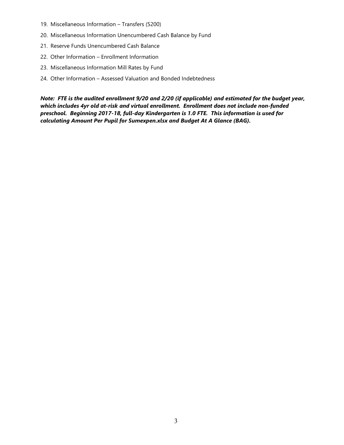- 19. Miscellaneous Information Transfers (5200)
- 20. Miscellaneous Information Unencumbered Cash Balance by Fund
- 21. Reserve Funds Unencumbered Cash Balance
- 22. Other Information Enrollment Information
- 23. Miscellaneous Information Mill Rates by Fund
- 24. Other Information Assessed Valuation and Bonded Indebtedness

Note: FTE is the audited enrollment 9/20 and 2/20 (if applicable) and estimated for the budget year, which includes 4yr old at-risk and virtual enrollment. Enrollment does not include non-funded preschool. Beginning 2017-18, full-day Kindergarten is 1.0 FTE. This information is used for calculating Amount Per Pupil for Sumexpen.xlsx and Budget At A Glance (BAG).